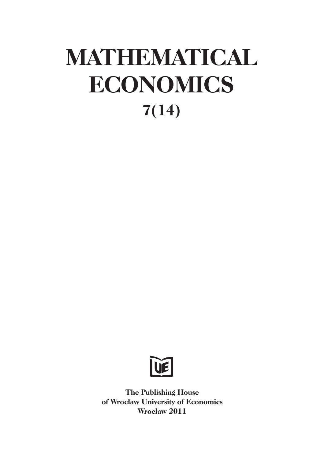# MATHEMATICAL ECONOMICS 7(14)



The Publishing House of Wrocław University of Economics Wrocław 2011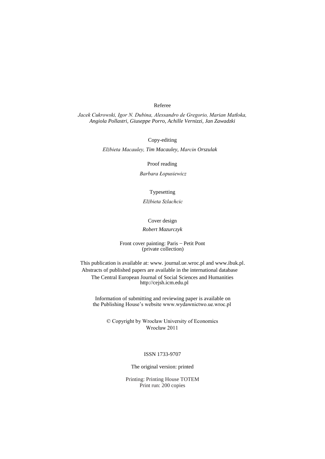# Referee

*Jacek Cukrowski, Igor N. Dubina, Alessandro de Gregorio, Marian Matłoka, Angiola Pollastri, Giuseppe Porro, Achille Vernizzi, Jan Zawadzki* 

Copy-editing

*Elżbieta Macauley, Tim Macauley, Marcin Orszulak* 

Proof reading

*Barbara Łopusiewicz*

Typesetting

*Elżbieta Szlachcic*

# Cover design

## *Robert Mazurczyk*

#### Front cover painting: Paris - Petit Pont (private collection)

This publication is available at: www. journal.ue.wroc.pl and www.ibuk.pl. Abstracts of published papers are available in the international database The Central European Journal of Social Sciences and Humanities http://cejsh.icm.edu.pl

Information of submitting and reviewing paper is available on the Publishing House"s website www.wydawnictwo.ue.wroc.pl

© Copyright by Wrocław University of Economics Wrocław 2011

### ISSN 1733-9707

# The original version: printed

Printing: Printing House TOTEM Print run: 200 copies